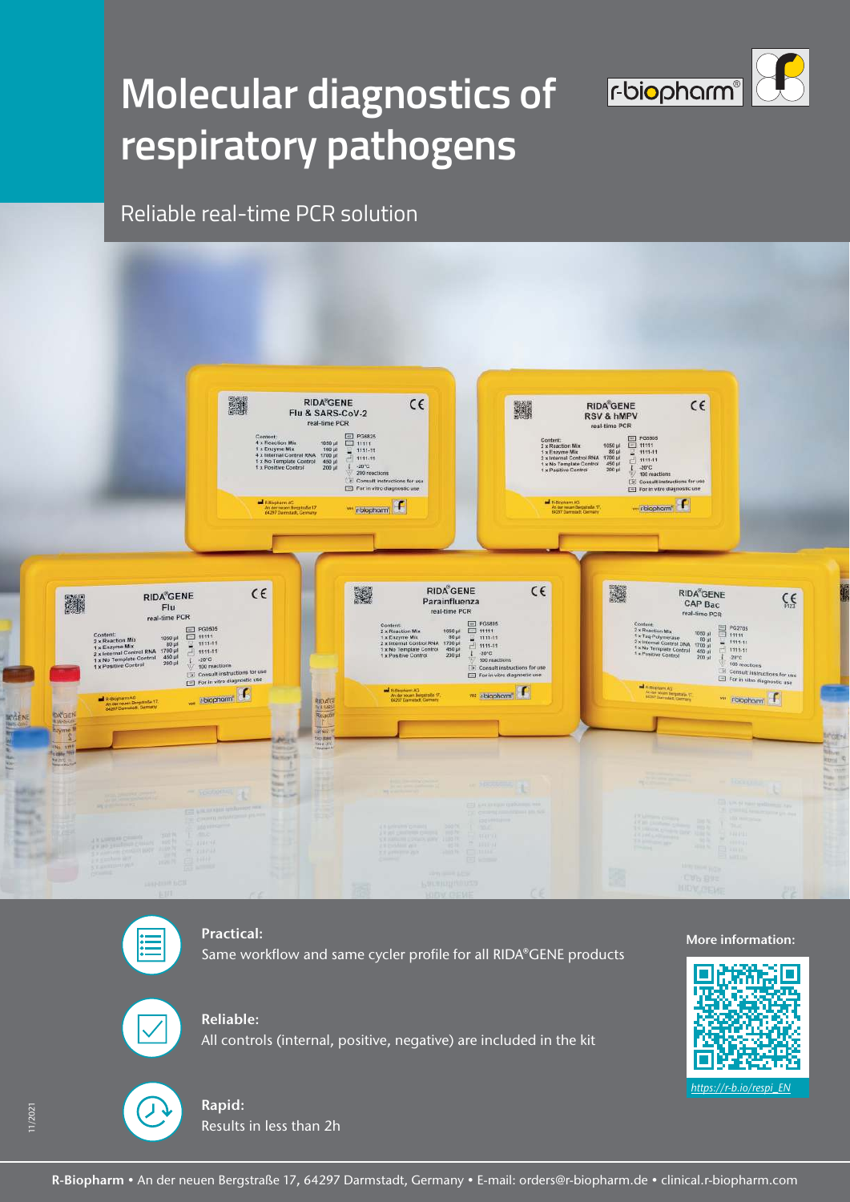

# **Molecular diagnostics of respiratory pathogens**

Reliable real-time PCR solution





**Practical:**

Same workflow and same cycler profile for all RIDA®GENE products



**Reliable:** All controls (internal, positive, negative) are included in the kit



11/2021

**Rapid:**

Results in less than 2h

#### **More information:**



*https://r-b.io/respi\_EN*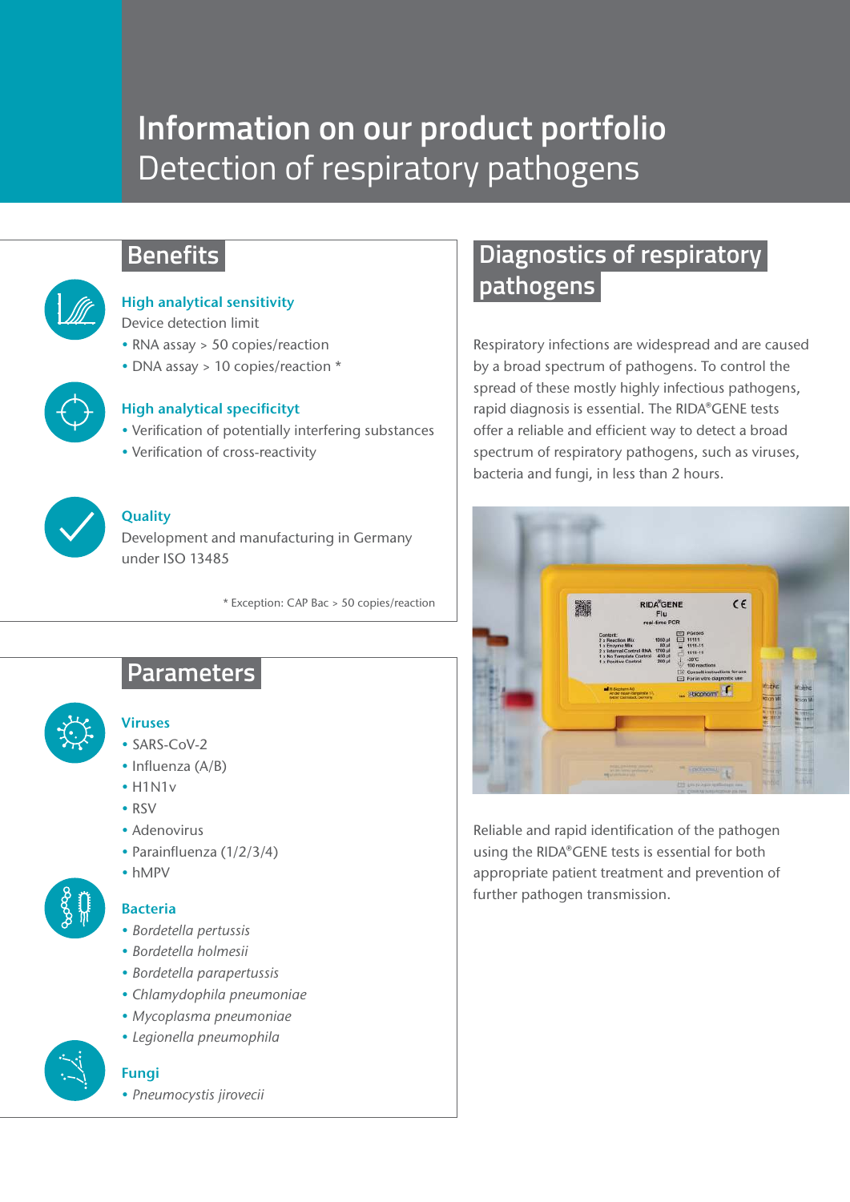## **Information on our product portfolio**  Detection of respiratory pathogens

## **Benefits**



## **High analytical sensitivity**

- Device detection limit
- RNA assay > 50 copies/reaction
- DNA assay > 10 copies/reaction \*



#### **High analytical specificityt**

- Verification of potentially interfering substances
- Verification of cross-reactivity



#### **Quality**

Development and manufacturing in Germany under ISO 13485

\* Exception: CAP Bac > 50 copies/reaction

## **Parameters**



### **Viruses**

- SARS-CoV-2
- Influenza (A/B)
- $\bullet$  H1N1 $\vee$
- RSV
- Adenovirus
- Parainfluenza (1/2/3/4)
- hMPV



#### **Bacteria**

- *Bordetella pertussis*
- *Bordetella holmesii*
- *Bordetella parapertussis*
- *Chlamydophila pneumoniae*
- *Mycoplasma pneumoniae*
- *Legionella pneumophila*



### **Fungi**

• *Pneumocystis jirovecii*

## **Diagnostics of respiratory pathogens**

Respiratory infections are widespread and are caused by a broad spectrum of pathogens. To control the spread of these mostly highly infectious pathogens, rapid diagnosis is essential. The RIDA®GENE tests offer a reliable and efficient way to detect a broad spectrum of respiratory pathogens, such as viruses, bacteria and fungi, in less than 2 hours.



Reliable and rapid identification of the pathogen using the RIDA®GENE tests is essential for both appropriate patient treatment and prevention of further pathogen transmission.

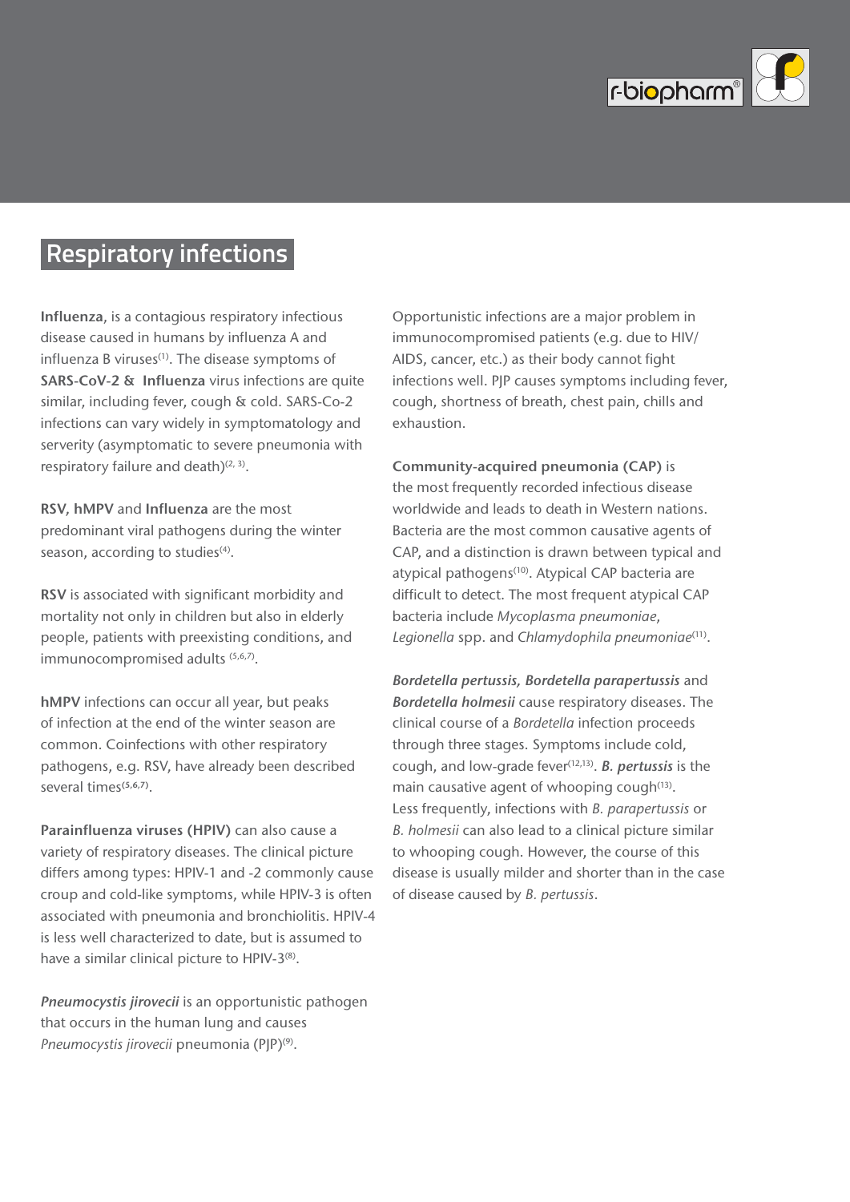

## **Respiratory infections**

**Influenza**, is a contagious respiratory infectious disease caused in humans by influenza A and influenza B viruses<sup>(1)</sup>. The disease symptoms of **SARS-CoV-2 & Influenza** virus infections are quite similar, including fever, cough & cold. SARS-Co-2 infections can vary widely in symptomatology and serverity (asymptomatic to severe pneumonia with respiratory failure and death) $(2, 3)$ .

**RSV, hMPV** and **Influenza** are the most predominant viral pathogens during the winter season, according to studies $(4)$ .

**RSV** is associated with significant morbidity and mortality not only in children but also in elderly people, patients with preexisting conditions, and immunocompromised adults (5,6,7).

**hMPV** infections can occur all year, but peaks of infection at the end of the winter season are common. Coinfections with other respiratory pathogens, e.g. RSV, have already been described several times**(5,6,7)** .

**Parainfluenza viruses (HPIV)** can also cause a variety of respiratory diseases. The clinical picture differs among types: HPIV-1 and -2 commonly cause croup and cold-like symptoms, while HPIV-3 is often associated with pneumonia and bronchiolitis. HPIV-4 is less well characterized to date, but is assumed to have a similar clinical picture to HPIV-3<sup>(8)</sup>.

*Pneumocystis jirovecii* is an opportunistic pathogen that occurs in the human lung and causes Pneumocystis jirovecii pneumonia (PJP)<sup>(9)</sup>.

Opportunistic infections are a major problem in immunocompromised patients (e.g. due to HIV/ AIDS, cancer, etc.) as their body cannot fight infections well. PJP causes symptoms including fever, cough, shortness of breath, chest pain, chills and exhaustion.

**Community-acquired pneumonia (CAP)** is the most frequently recorded infectious disease worldwide and leads to death in Western nations. Bacteria are the most common causative agents of CAP, and a distinction is drawn between typical and atypical pathogens<sup>(10)</sup>. Atypical CAP bacteria are difficult to detect. The most frequent atypical CAP bacteria include *Mycoplasma pneumoniae*, Legionella spp. and Chlamydophila pneumoniae<sup>(11)</sup>.

*Bordetella pertussis, Bordetella parapertussis* and *Bordetella holmesii* cause respiratory diseases. The clinical course of a *Bordetella* infection proceeds through three stages. Symptoms include cold, cough, and low-grade fever(12,13) . *B. pertussis* is the main causative agent of whooping cough $(13)$ . Less frequently, infections with *B. parapertussis* or *B. holmesii* can also lead to a clinical picture similar to whooping cough. However, the course of this disease is usually milder and shorter than in the case of disease caused by *B. pertussis*.